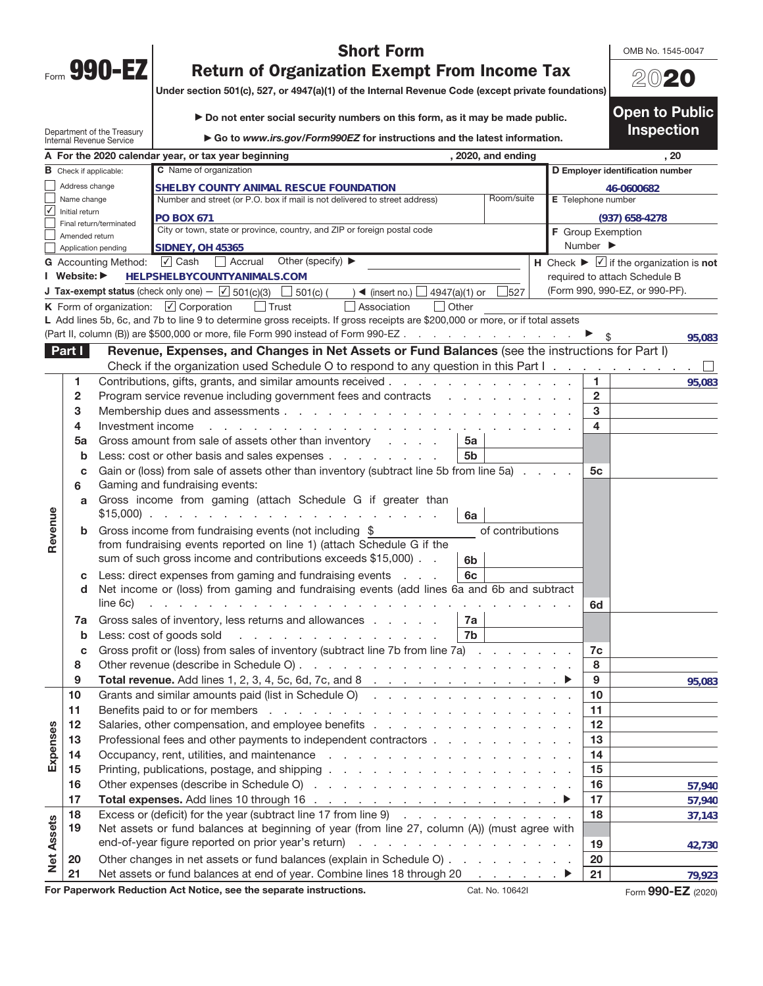|      | M<br>۱<br>п<br>- 0 |  |
|------|--------------------|--|
| Form |                    |  |

## **Short Form**

OMB No. 1545-0047

20**20**

**Open to Public** 

## **Return of Organization Exempt From Income Tax**

**Return of Organization Exempt From Income Tax Under section 501(c), 527, or 4947(a)(1) of the Internal Revenue Code (except private foundations)**

▶ Do not enter social security numbers on this form, as it may be made public.

**Inspection**  Department of the Treasury ▶ Go to *www.irs.gov/Form990EZ* for instructions and the latest information.<br>tax year beginning (2020, and ending Internal Revenue Service **A For the 2020 calendar year, or tax year beginning the act of the set of the set of the set of the set of the set of the set of the set of the set of the set of the set of the set of the set of the set of the set of the C** Name of organization **B** Check if applicable: **D Employer identification number**  Address change **SHELBY COUNTY ANIMAL RESCUE FOUNDATION 46-0600682** Name change Number and street (or P.O. box if mail is not delivered to street address) Room/suite **E** Telephone number ✔ Initial return **PO BOX 671 (937) 658-4278** Final return/terminated City or town, state or province, country, and ZIP or foreign postal code **F** Group Exemption Amended return Number  $\blacktriangleright$ Application pending **SIDNEY, OH 45365 G** Accounting Method: **V** Cash a Accrual Other (specify) ▶ **Accrual Accrual Accrual Accrual** Other (specify) ▶ **Accrual** Accrual Accrual Accrual Accrual Accrual Accrual Accrual Accrual Accrual Accrual Accrual Accrual Acc **HELPSHELBYCOUNTYANIMALS.COM I** Website: ▶ required to attach Schedule B (Form 990, 990-EZ, or 990-PF). **J Tax-exempt status** (check only one) —  $\boxed{\angle}$  501(c)(3)  $\boxed{\phantom{\angle}}$  501(c) (  $\phantom{\angle}$  )  $\blacktriangleleft$  (insert no.)  $\boxed{\phantom{0}}$  4947(a)(1) or  $\phantom{\phantom{0}}$  527 K Form of organization:  $\boxed{\angle}$  Corporation  $\boxed{\phantom{\Box}}$  Trust  $\boxed{\phantom{\Box}}$  Association  $\boxed{\phantom{\Box}}$  Other L Add lines 5b, 6c, and 7b to line 9 to determine gross receipts. If gross receipts are \$200,000 or more, or if total assets (Part II, column (B)) are \$500,000 or more, file Form 990 instead of Form 990-EZ. **95,083 Part I** Revenue, Expenses, and Changes in Net Assets or Fund Balances (see the instructions for Part I) Check if the organization used Schedule O to respond to any question in this Part I  $\Box$ **1** Contributions, gifts, grants, and similar amounts received ............. **1 95,083 2** Program service revenue including government fees and contracts ......... **2 3** Membership dues and assessments .................... **3 4** Investment income ......................... **4 5 a** Gross amount from sale of assets other than inventory .... **5a b** Less: cost or other basis and sales expenses ........ **5b c** Gain or (loss) from sale of assets other than inventory (subtract line 5b from line 5a) .... **5c 6** Gaming and fundraising events: **a** Gross income from gaming (attach Schedule G if greater than **Revenue**  Revenue \$15,000) .................... **6a b** Gross income from fundraising events (not including  $\$  of contributions from fundraising events reported on line 1) (attach Schedule G if the sum of such gross income and contributions exceeds \$15,000) . . **6b c** Less: direct expenses from gaming and fundraising events . . . **6c d** Net income or (loss) from gaming and fundraising events (add lines 6a and 6b and subtract line 6c) ............................. **6d 7 a** Gross sales of inventory, less returns and allowances ..... **7a b** Less: cost of goods sold .............. **7b c** Gross profit or (loss) from sales of inventory (subtract line 7b from line 7a) ....... **7c 8** Other revenue (describe in Schedule O) ................... **8 9 Total revenue.** Add lines 1, 2, 3, 4, 5c, 6d, 7c, and 8 . . . . . . . . . . . . . . . ▶ | 9 **95,083 10** Grants and similar amounts paid (list in Schedule O) .............. **10 11** Benefits paid to or for members ..................... **11 Expenses 12** Salaries, other compensation, and employee benefits .............. **12**  Expenses **13** Professional fees and other payments to independent contractors .......... **13 14** Occupancy, rent, utilities, and maintenance ................. **14 15** Printing, publications, postage, and shipping ................. **15 16** Other expenses (describe in Schedule O) . . . . . . . . . . . . . . . . . . **16 57,940 17 Total expenses.** Add lines 10 through 16 . . . . . . . . . . . . . . . . . <sup>a</sup> **17 57,940 18** Excess or (deficit) for the year (subtract line 17 from line 9) ............ **18 37,143 Net Assets Net Assets 19** Net assets or fund balances at beginning of year (from line 27, column (A)) (must agree with end-of-year figure reported on prior year's return) . . . . . . . . . . . . . . . . . . | 19 **42,730 20** Other changes in net assets or fund balances (explain in Schedule O) ......... **20 21** Net assets or fund balances at end of year. Combine lines 18 through 20 . . . . . . . ▶ 21 **79,923For Paperwork Reduction Act Notice, see the separate instructions.** Cat. No. 10642I Form **990-EZ** (2020)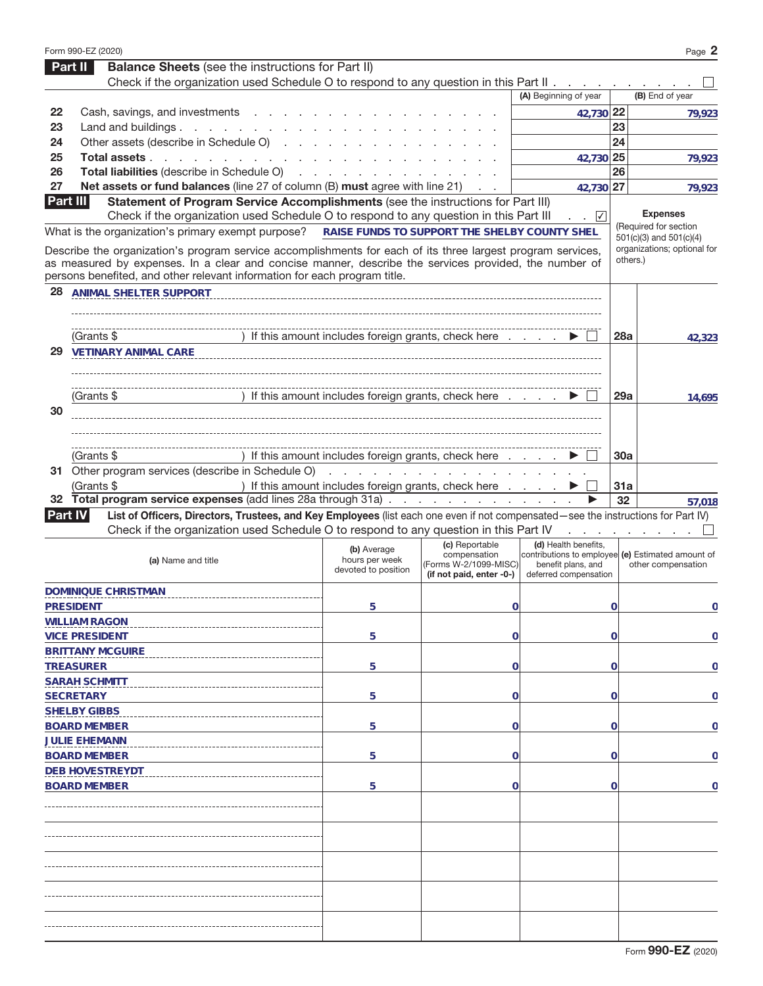|                 | Form 990-EZ (2020)                                                                                                                                                                                                   |                                                      |                                                                                                                                                                                                                                |                                                                                                                           |                | Page 2                      |
|-----------------|----------------------------------------------------------------------------------------------------------------------------------------------------------------------------------------------------------------------|------------------------------------------------------|--------------------------------------------------------------------------------------------------------------------------------------------------------------------------------------------------------------------------------|---------------------------------------------------------------------------------------------------------------------------|----------------|-----------------------------|
|                 | <b>Balance Sheets</b> (see the instructions for Part II)<br>Part II                                                                                                                                                  |                                                      |                                                                                                                                                                                                                                |                                                                                                                           |                |                             |
|                 | Check if the organization used Schedule O to respond to any question in this Part II.                                                                                                                                |                                                      |                                                                                                                                                                                                                                |                                                                                                                           |                |                             |
|                 |                                                                                                                                                                                                                      |                                                      |                                                                                                                                                                                                                                | (A) Beginning of year                                                                                                     |                | (B) End of year             |
| 22              | Cash, savings, and investments                                                                                                                                                                                       |                                                      |                                                                                                                                                                                                                                | 42,730 22                                                                                                                 |                | 79,923                      |
| 23              | Land and buildings                                                                                                                                                                                                   |                                                      |                                                                                                                                                                                                                                |                                                                                                                           | 23             |                             |
| 24              | Other assets (describe in Schedule O)                                                                                                                                                                                |                                                      |                                                                                                                                                                                                                                |                                                                                                                           | 24             |                             |
| 25              | Total assets                                                                                                                                                                                                         |                                                      |                                                                                                                                                                                                                                | 42,730 25                                                                                                                 |                | 79,923                      |
| 26              | Total liabilities (describe in Schedule O)                                                                                                                                                                           |                                                      |                                                                                                                                                                                                                                |                                                                                                                           | 26             |                             |
| 27              | Net assets or fund balances (line 27 of column (B) must agree with line 21)                                                                                                                                          |                                                      |                                                                                                                                                                                                                                | 42,730                                                                                                                    | 27             | 79,923                      |
| <b>Part III</b> | Statement of Program Service Accomplishments (see the instructions for Part III)<br>Check if the organization used Schedule O to respond to any question in this Part III                                            |                                                      |                                                                                                                                                                                                                                | $\sqrt{}$                                                                                                                 |                | <b>Expenses</b>             |
|                 | What is the organization's primary exempt purpose?                                                                                                                                                                   | RAISE FUNDS TO SUPPORT THE SHELBY COUNTY SHEL        |                                                                                                                                                                                                                                |                                                                                                                           |                | (Required for section       |
|                 |                                                                                                                                                                                                                      |                                                      |                                                                                                                                                                                                                                |                                                                                                                           |                | $501(c)(3)$ and $501(c)(4)$ |
|                 | Describe the organization's program service accomplishments for each of its three largest program services,<br>as measured by expenses. In a clear and concise manner, describe the services provided, the number of |                                                      |                                                                                                                                                                                                                                |                                                                                                                           | others.)       | organizations; optional for |
|                 | persons benefited, and other relevant information for each program title.                                                                                                                                            |                                                      |                                                                                                                                                                                                                                |                                                                                                                           |                |                             |
| 28              | ANIMAL SHELTER SUPPORT                                                                                                                                                                                               |                                                      |                                                                                                                                                                                                                                |                                                                                                                           |                |                             |
|                 |                                                                                                                                                                                                                      |                                                      |                                                                                                                                                                                                                                |                                                                                                                           |                |                             |
|                 |                                                                                                                                                                                                                      |                                                      |                                                                                                                                                                                                                                |                                                                                                                           |                |                             |
|                 | (Grants \$                                                                                                                                                                                                           | If this amount includes foreign grants, check here   |                                                                                                                                                                                                                                |                                                                                                                           | <b>28a</b>     | 42,323                      |
| 29              | <b>VETINARY ANIMAL CARE</b>                                                                                                                                                                                          |                                                      |                                                                                                                                                                                                                                |                                                                                                                           |                |                             |
|                 |                                                                                                                                                                                                                      |                                                      |                                                                                                                                                                                                                                |                                                                                                                           |                |                             |
|                 |                                                                                                                                                                                                                      |                                                      |                                                                                                                                                                                                                                |                                                                                                                           |                |                             |
|                 | (Grants \$                                                                                                                                                                                                           | If this amount includes foreign grants, check here   |                                                                                                                                                                                                                                |                                                                                                                           | 29a            | 14,695                      |
| 30              |                                                                                                                                                                                                                      |                                                      |                                                                                                                                                                                                                                |                                                                                                                           |                |                             |
|                 |                                                                                                                                                                                                                      |                                                      |                                                                                                                                                                                                                                |                                                                                                                           |                |                             |
|                 |                                                                                                                                                                                                                      |                                                      |                                                                                                                                                                                                                                |                                                                                                                           |                |                             |
|                 | (Grants \$                                                                                                                                                                                                           | If this amount includes foreign grants, check here   |                                                                                                                                                                                                                                |                                                                                                                           | 30a            |                             |
|                 | 31 Other program services (describe in Schedule O)                                                                                                                                                                   |                                                      | design and contract the contract of the contract of the contract of the contract of the contract of the contract of the contract of the contract of the contract of the contract of the contract of the contract of the contra |                                                                                                                           |                |                             |
|                 | (Grants \$                                                                                                                                                                                                           |                                                      |                                                                                                                                                                                                                                |                                                                                                                           |                |                             |
|                 | 32 Total program service expenses (add lines 28a through 31a)                                                                                                                                                        | ) If this amount includes foreign grants, check here |                                                                                                                                                                                                                                |                                                                                                                           | 31a            |                             |
|                 |                                                                                                                                                                                                                      |                                                      |                                                                                                                                                                                                                                |                                                                                                                           |                |                             |
|                 |                                                                                                                                                                                                                      |                                                      |                                                                                                                                                                                                                                |                                                                                                                           | 32             | 57,018                      |
|                 | List of Officers, Directors, Trustees, and Key Employees (list each one even if not compensated—see the instructions for Part IV)<br><b>Part IV</b>                                                                  |                                                      |                                                                                                                                                                                                                                |                                                                                                                           |                |                             |
|                 | Check if the organization used Schedule O to respond to any question in this Part IV                                                                                                                                 |                                                      |                                                                                                                                                                                                                                |                                                                                                                           |                |                             |
|                 | (a) Name and title                                                                                                                                                                                                   | (b) Average<br>hours per week<br>devoted to position | (c) Reportable<br>compensation<br>(Forms W-2/1099-MISC)<br>(if not paid, enter -0-)                                                                                                                                            | (d) Health benefits,<br>contributions to emploveel (e) Estimated amount of<br>benefit plans, and<br>deferred compensation |                | other compensation          |
|                 |                                                                                                                                                                                                                      |                                                      |                                                                                                                                                                                                                                |                                                                                                                           |                |                             |
|                 | DOMINIQUE CHRISTMAN                                                                                                                                                                                                  |                                                      |                                                                                                                                                                                                                                |                                                                                                                           |                |                             |
|                 | <b>PRESIDENT</b>                                                                                                                                                                                                     | 5                                                    | $\mathbf 0$                                                                                                                                                                                                                    |                                                                                                                           | $\overline{0}$ | 0                           |
|                 | <b>WILLIAM RAGON</b>                                                                                                                                                                                                 |                                                      |                                                                                                                                                                                                                                |                                                                                                                           |                |                             |
|                 | <b>VICE PRESIDENT</b>                                                                                                                                                                                                | 5                                                    | $\mathbf 0$                                                                                                                                                                                                                    |                                                                                                                           | $\mathbf 0$    | 0                           |
|                 | <b>BRITTANY MCGUIRE</b>                                                                                                                                                                                              |                                                      |                                                                                                                                                                                                                                |                                                                                                                           |                |                             |
|                 | <b>TREASURER</b>                                                                                                                                                                                                     | 5                                                    | $\mathbf 0$                                                                                                                                                                                                                    |                                                                                                                           | $\mathbf 0$    | 0                           |
|                 | <b>SARAH SCHMITT</b>                                                                                                                                                                                                 |                                                      |                                                                                                                                                                                                                                |                                                                                                                           |                |                             |
|                 | <b>SECRETARY</b>                                                                                                                                                                                                     | 5                                                    | $\mathbf 0$                                                                                                                                                                                                                    |                                                                                                                           | $\mathbf 0$    | 0                           |
|                 | <b>SHELBY GIBBS</b>                                                                                                                                                                                                  |                                                      |                                                                                                                                                                                                                                |                                                                                                                           |                |                             |
|                 | <b>BOARD MEMBER</b>                                                                                                                                                                                                  | 5                                                    | $\mathbf 0$                                                                                                                                                                                                                    |                                                                                                                           | $\mathbf 0$    | 0                           |
|                 | <b>JULIE EHEMANN</b>                                                                                                                                                                                                 |                                                      |                                                                                                                                                                                                                                |                                                                                                                           |                |                             |
|                 | <b>BOARD MEMBER</b>                                                                                                                                                                                                  | 5                                                    | $\mathbf 0$                                                                                                                                                                                                                    |                                                                                                                           | $\mathbf 0$    | 0                           |
|                 | <b>DEB HOVESTREYDT</b>                                                                                                                                                                                               |                                                      |                                                                                                                                                                                                                                |                                                                                                                           |                |                             |
|                 | <b>BOARD MEMBER</b>                                                                                                                                                                                                  | 5                                                    | 0                                                                                                                                                                                                                              |                                                                                                                           | $\mathbf 0$    | 0                           |
|                 |                                                                                                                                                                                                                      |                                                      |                                                                                                                                                                                                                                |                                                                                                                           |                |                             |
|                 |                                                                                                                                                                                                                      |                                                      |                                                                                                                                                                                                                                |                                                                                                                           |                |                             |
|                 |                                                                                                                                                                                                                      |                                                      |                                                                                                                                                                                                                                |                                                                                                                           |                |                             |
|                 |                                                                                                                                                                                                                      |                                                      |                                                                                                                                                                                                                                |                                                                                                                           |                |                             |
|                 |                                                                                                                                                                                                                      |                                                      |                                                                                                                                                                                                                                |                                                                                                                           |                |                             |
|                 |                                                                                                                                                                                                                      |                                                      |                                                                                                                                                                                                                                |                                                                                                                           |                |                             |
|                 |                                                                                                                                                                                                                      |                                                      |                                                                                                                                                                                                                                |                                                                                                                           |                |                             |
|                 |                                                                                                                                                                                                                      |                                                      |                                                                                                                                                                                                                                |                                                                                                                           |                |                             |
|                 |                                                                                                                                                                                                                      |                                                      |                                                                                                                                                                                                                                |                                                                                                                           |                |                             |
|                 |                                                                                                                                                                                                                      |                                                      |                                                                                                                                                                                                                                |                                                                                                                           |                |                             |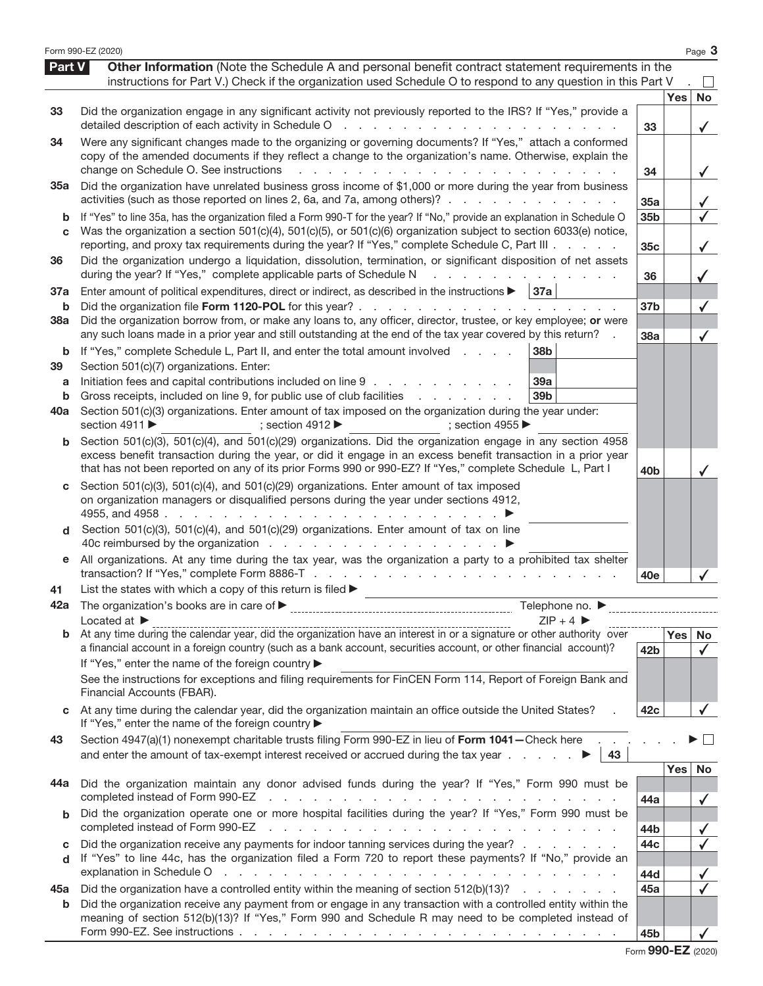|                          | Form 990-EZ (2020)                                                                                                                                                                                                                                                                                                                                                                                          |                        |            | Page 3             |
|--------------------------|-------------------------------------------------------------------------------------------------------------------------------------------------------------------------------------------------------------------------------------------------------------------------------------------------------------------------------------------------------------------------------------------------------------|------------------------|------------|--------------------|
| Part V                   | Other Information (Note the Schedule A and personal benefit contract statement requirements in the<br>instructions for Part V.) Check if the organization used Schedule O to respond to any question in this Part V                                                                                                                                                                                         |                        |            |                    |
| 33                       | Did the organization engage in any significant activity not previously reported to the IRS? If "Yes," provide a<br>detailed description of each activity in Schedule O<br>and the state of the<br><b>Carl Carl</b>                                                                                                                                                                                          | 33                     | <b>Yes</b> | No                 |
| 34                       | Were any significant changes made to the organizing or governing documents? If "Yes," attach a conformed<br>copy of the amended documents if they reflect a change to the organization's name. Otherwise, explain the<br>change on Schedule O. See instructions<br>and the company of the company of                                                                                                        | 34                     |            | $\checkmark$       |
| 35а                      | Did the organization have unrelated business gross income of \$1,000 or more during the year from business<br>activities (such as those reported on lines 2, 6a, and 7a, among others)?                                                                                                                                                                                                                     | 35a                    |            |                    |
| b<br>C                   | If "Yes" to line 35a, has the organization filed a Form 990-T for the year? If "No," provide an explanation in Schedule O<br>Was the organization a section 501(c)(4), 501(c)(5), or 501(c)(6) organization subject to section 6033(e) notice,<br>reporting, and proxy tax requirements during the year? If "Yes," complete Schedule C, Part III                                                            | 35 <sub>b</sub><br>35c |            |                    |
| 36                       | Did the organization undergo a liquidation, dissolution, termination, or significant disposition of net assets<br>during the year? If "Yes," complete applicable parts of Schedule N<br>and the state of the state of                                                                                                                                                                                       | 36                     |            |                    |
| 37a<br>b                 | Enter amount of political expenditures, direct or indirect, as described in the instructions $\blacktriangleright$   37a<br>Did the organization file Form 1120-POL for this year?                                                                                                                                                                                                                          | 37 <sub>b</sub>        |            |                    |
| <b>38a</b>               | Did the organization borrow from, or make any loans to, any officer, director, trustee, or key employee; or were<br>any such loans made in a prior year and still outstanding at the end of the tax year covered by this return?                                                                                                                                                                            | 38a                    |            |                    |
| b<br>39<br>a<br>b<br>40a | 38b<br>If "Yes," complete Schedule L, Part II, and enter the total amount involved<br>Section 501(c)(7) organizations. Enter:<br>Initiation fees and capital contributions included on line 9<br>39a<br>Gross receipts, included on line 9, for public use of club facilities<br>39 <sub>b</sub><br>Section 501(c)(3) organizations. Enter amount of tax imposed on the organization during the year under: |                        |            |                    |
| b                        | section 4911<br>; section 4912 $\blacktriangleright$<br>; section 4955<br>Section 501(c)(3), 501(c)(4), and 501(c)(29) organizations. Did the organization engage in any section 4958                                                                                                                                                                                                                       |                        |            |                    |
|                          | excess benefit transaction during the year, or did it engage in an excess benefit transaction in a prior year<br>that has not been reported on any of its prior Forms 990 or 990-EZ? If "Yes," complete Schedule L, Part I                                                                                                                                                                                  | 40 <sub>b</sub>        |            |                    |
| С                        | Section 501(c)(3), 501(c)(4), and 501(c)(29) organizations. Enter amount of tax imposed<br>on organization managers or disqualified persons during the year under sections 4912,                                                                                                                                                                                                                            |                        |            |                    |
| d                        | Section 501(c)(3), 501(c)(4), and 501(c)(29) organizations. Enter amount of tax on line                                                                                                                                                                                                                                                                                                                     |                        |            |                    |
| е                        | All organizations. At any time during the tax year, was the organization a party to a prohibited tax shelter                                                                                                                                                                                                                                                                                                | 40e                    |            |                    |
| 41                       | List the states with which a copy of this return is filed $\blacktriangleright$                                                                                                                                                                                                                                                                                                                             |                        |            |                    |
| 42a                      | Telephone no. ▶<br>$ZIP + 4$<br>Located at $\blacktriangleright$                                                                                                                                                                                                                                                                                                                                            |                        |            |                    |
| b                        | a financial account in a foreign country (such as a bank account, securities account, or other financial account)?<br>If "Yes," enter the name of the foreign country ▶                                                                                                                                                                                                                                     | 42b                    | <b>Yes</b> | No<br>$\checkmark$ |
|                          | See the instructions for exceptions and filing requirements for FinCEN Form 114, Report of Foreign Bank and<br>Financial Accounts (FBAR).                                                                                                                                                                                                                                                                   |                        |            |                    |
| C                        | At any time during the calendar year, did the organization maintain an office outside the United States?<br>If "Yes," enter the name of the foreign country ▶                                                                                                                                                                                                                                               | 42c                    |            |                    |
| 43                       | Section 4947(a)(1) nonexempt charitable trusts filing Form 990-EZ in lieu of Form 1041-Check here<br>and enter the amount of tax-exempt interest received or accrued during the tax year $\ldots$ $\ldots$<br>43                                                                                                                                                                                            |                        |            |                    |
| 44a                      | Did the organization maintain any donor advised funds during the year? If "Yes," Form 990 must be<br>completed instead of Form 990-EZ<br>the contract of the contract of the contract of the contract of the contract of                                                                                                                                                                                    | 44a                    | <b>Yes</b> | No<br>✓            |
| b                        | Did the organization operate one or more hospital facilities during the year? If "Yes," Form 990 must be<br>completed instead of Form 990-EZ<br>and the contract of the contract of the contract of the contract of the contract of                                                                                                                                                                         | 44b                    |            |                    |
| C<br>d                   | Did the organization receive any payments for indoor tanning services during the year?<br>If "Yes" to line 44c, has the organization filed a Form 720 to report these payments? If "No," provide an<br>explanation in Schedule O<br>and the contract of the contract of the contract of the contract of the contract of                                                                                     | 44c<br>44d             |            |                    |
| 45а                      | Did the organization have a controlled entity within the meaning of section 512(b)(13)?                                                                                                                                                                                                                                                                                                                     | 45a                    |            |                    |
| b                        | Did the organization receive any payment from or engage in any transaction with a controlled entity within the<br>meaning of section 512(b)(13)? If "Yes," Form 990 and Schedule R may need to be completed instead of                                                                                                                                                                                      | 45b                    |            |                    |

|  | Form 990-EZ (2020) |  |
|--|--------------------|--|
|--|--------------------|--|